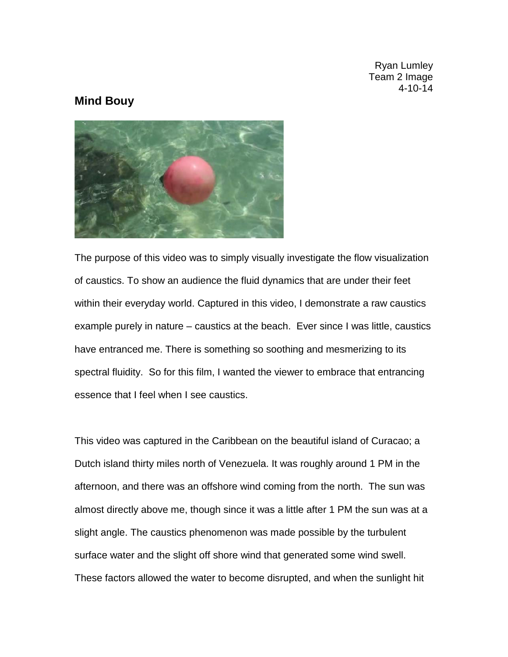Ryan Lumley Team 2 Image 4-10-14

## **Mind Bouy**



The purpose of this video was to simply visually investigate the flow visualization of caustics. To show an audience the fluid dynamics that are under their feet within their everyday world. Captured in this video, I demonstrate a raw caustics example purely in nature – caustics at the beach. Ever since I was little, caustics have entranced me. There is something so soothing and mesmerizing to its spectral fluidity. So for this film, I wanted the viewer to embrace that entrancing essence that I feel when I see caustics.

This video was captured in the Caribbean on the beautiful island of Curacao; a Dutch island thirty miles north of Venezuela. It was roughly around 1 PM in the afternoon, and there was an offshore wind coming from the north. The sun was almost directly above me, though since it was a little after 1 PM the sun was at a slight angle. The caustics phenomenon was made possible by the turbulent surface water and the slight off shore wind that generated some wind swell. These factors allowed the water to become disrupted, and when the sunlight hit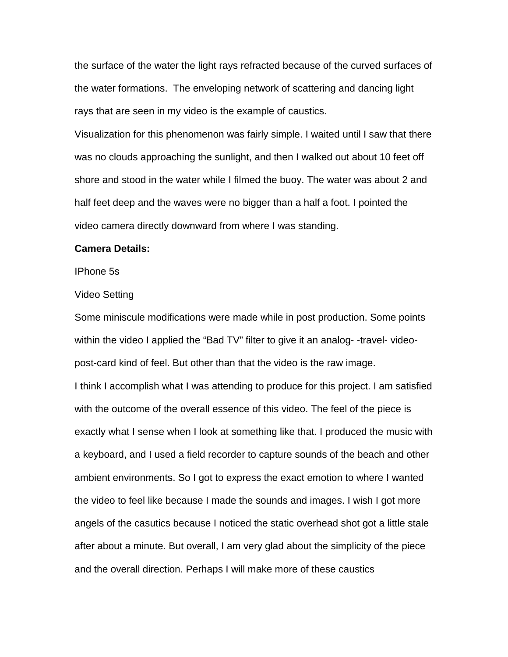the surface of the water the light rays refracted because of the curved surfaces of the water formations. The enveloping network of scattering and dancing light rays that are seen in my video is the example of caustics.

Visualization for this phenomenon was fairly simple. I waited until I saw that there was no clouds approaching the sunlight, and then I walked out about 10 feet off shore and stood in the water while I filmed the buoy. The water was about 2 and half feet deep and the waves were no bigger than a half a foot. I pointed the video camera directly downward from where I was standing.

## **Camera Details:**

IPhone 5s

## Video Setting

Some miniscule modifications were made while in post production. Some points within the video I applied the "Bad TV" filter to give it an analog- -travel- videopost-card kind of feel. But other than that the video is the raw image. I think I accomplish what I was attending to produce for this project. I am satisfied with the outcome of the overall essence of this video. The feel of the piece is exactly what I sense when I look at something like that. I produced the music with a keyboard, and I used a field recorder to capture sounds of the beach and other ambient environments. So I got to express the exact emotion to where I wanted the video to feel like because I made the sounds and images. I wish I got more angels of the casutics because I noticed the static overhead shot got a little stale after about a minute. But overall, I am very glad about the simplicity of the piece and the overall direction. Perhaps I will make more of these caustics